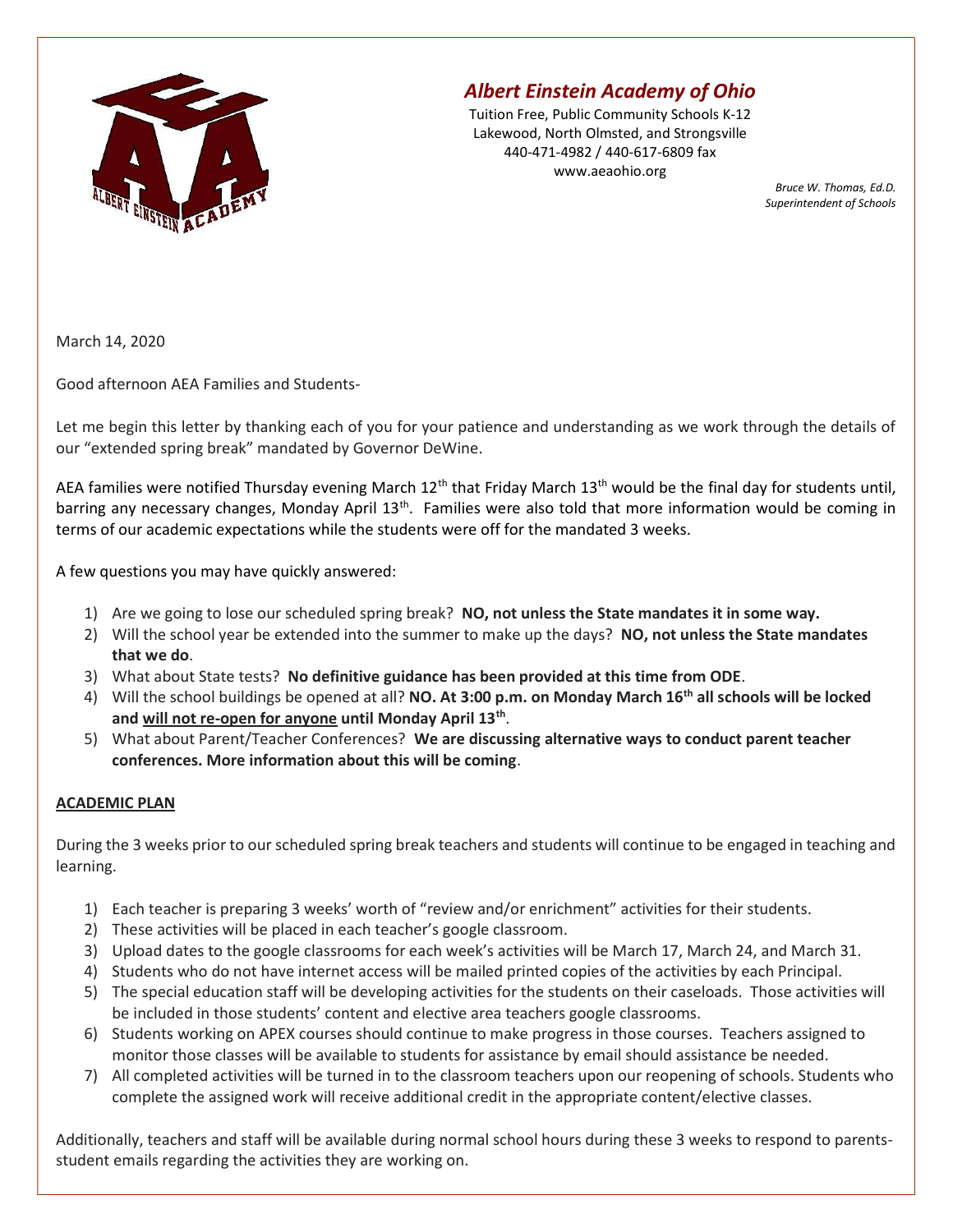

## Albert Einstein Academy of Ohio

Tuition Free, Public Community Schools K-12 Lakewood, North Olmsted, and Strongsville 440-471-4982 / 440-617-6809 fax www.aeaohio.org

Bruce W. Thomas, Ed.D. Superintendent of Schools

March 14, 2020

Good afternoon AEA Families and Students-

Let me begin this letter by thanking each of you for your patience and understanding as we work through the details of our "extended spring break" mandated by Governor DeWine.

AEA families were notified Thursday evening March  $12^{th}$  that Friday March  $13^{th}$  would be the final day for students until, barring any necessary changes, Monday April 13<sup>th</sup>. Families were also told that more information would be coming in terms of our academic expectations while the students were off for the mandated 3 weeks.

A few questions you may have quickly answered:

- 1) Are we going to lose our scheduled spring break? NO, not unless the State mandates it in some way.
- 2) Will the school year be extended into the summer to make up the days? NO, not unless the State mandates that we do.
- 3) What about State tests? No definitive guidance has been provided at this time from ODE.
- 4) Will the school buildings be opened at all? **NO. At 3:00 p.m. on Monday March 16<sup>th</sup> all schools will be locked** and will not re-open for anyone until Monday April 13<sup>th</sup>.
- 5) What about Parent/Teacher Conferences? We are discussing alternative ways to conduct parent teacher conferences. More information about this will be coming.

## ACADEMIC PLAN

During the 3 weeks prior to our scheduled spring break teachers and students will continue to be engaged in teaching and learning.

- 1) Each teacher is preparing 3 weeks' worth of "review and/or enrichment" activities for their students.
- 2) These activities will be placed in each teacher's google classroom.
- 3) Upload dates to the google classrooms for each week's activities will be March 17, March 24, and March 31.
- 4) Students who do not have internet access will be mailed printed copies of the activities by each Principal.
- 5) The special education staff will be developing activities for the students on their caseloads. Those activities will be included in those students' content and elective area teachers google classrooms.
- 6) Students working on APEX courses should continue to make progress in those courses. Teachers assigned to monitor those classes will be available to students for assistance by email should assistance be needed.
- 7) All completed activities will be turned in to the classroom teachers upon our reopening of schools. Students who complete the assigned work will receive additional credit in the appropriate content/elective classes.

Additionally, teachers and staff will be available during normal school hours during these 3 weeks to respond to parentsstudent emails regarding the activities they are working on.